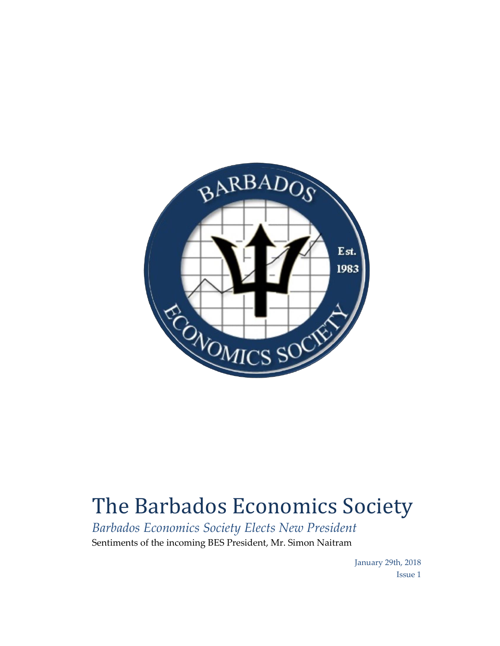

## The Barbados Economics Society

*Barbados Economics Society Elects New President* Sentiments of the incoming BES President, Mr. Simon Naitram

> January 29th, 2018 Issue 1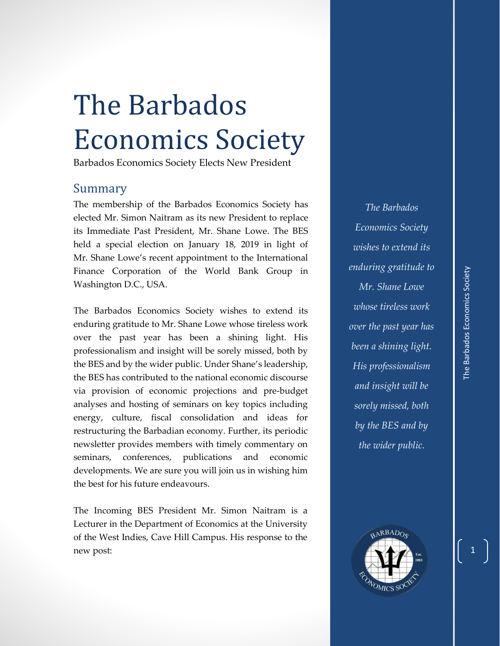## The Barbados Economics Society

Barbados Economics Society Elects New President

## Summary

The membership of the Barbados Economics Society has elected Mr. Simon Naitram as its new President to replace its Immediate Past President, Mr. Shane Lowe. The BES held a special election on January 18, 2019 in light of Mr. Shane Lowe's recent appointment to the International Finance Corporation of the World Bank Group in Washington D.C., USA.

The Barbados Economics Society wishes to extend its enduring gratitude to Mr. Shane Lowe whose tireless work over the past year has been a shining light. His professionalism and insight will be sorely missed, both by the BES and by the wider public. Under Shane's leadership, the BES has contributed to the national economic discourse via provision of economic projections and pre-budget analyses and hosting of seminars on key topics including energy, culture, fiscal consolidation and ideas for restructuring the Barbadian economy. Further, its periodic newsletter provides members with timely commentary on seminars, conferences, publications and economic developments. We are sure you will join us in wishing him the best for his future endeavours.

The Incoming BES President Mr. Simon Naitram is a Lecturer in the Department of Economics at the University of the West Indies, Cave Hill Campus. His response to the new post:

*The Barbados Economics Society wishes to extend its enduring gratitude to Mr. Shane Lowe whose tireless work over the past year has been a shining light. His professionalism and insight will be sorely missed, both by the BES and by the wider public.*